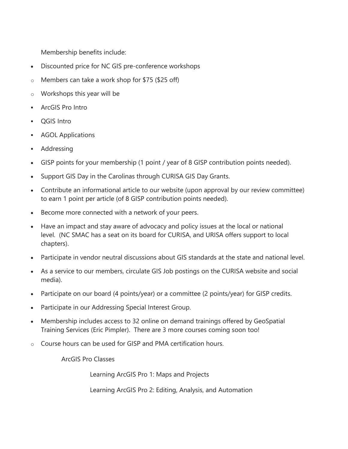Membership benefits include:

- Discounted price for NC GIS pre-conference workshops
- o Members can take a work shop for \$75 (\$25 off)
- o Workshops this year will be
- ArcGIS Pro Intro
- QGIS Intro
- **AGOL Applications**
- Addressing
- GISP points for your membership (1 point / year of 8 GISP contribution points needed).
- Support GIS Day in the Carolinas through CURISA GIS Day Grants.
- Contribute an informational article to our website (upon approval by our review committee) to earn 1 point per article (of 8 GISP contribution points needed).
- Become more connected with a network of your peers.
- Have an impact and stay aware of advocacy and policy issues at the local or national level. (NC SMAC has a seat on its board for CURISA, and URISA offers support to local chapters).
- Participate in vendor neutral discussions about GIS standards at the state and national level.
- As a service to our members, circulate GIS Job postings on the CURISA website and social media).
- Participate on our board (4 points/year) or a committee (2 points/year) for GISP credits.
- Participate in our Addressing Special Interest Group.
- Membership includes access to 32 online on demand trainings offered by GeoSpatial Training Services (Eric Pimpler). There are 3 more courses coming soon too!
- o Course hours can be used for GISP and PMA certification hours.

ArcGIS Pro Classes

Learning ArcGIS Pro 1: Maps and Projects

Learning ArcGIS Pro 2: Editing, Analysis, and Automation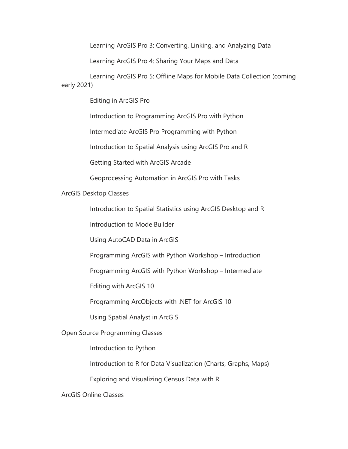Learning ArcGIS Pro 3: Converting, Linking, and Analyzing Data

Learning ArcGIS Pro 4: Sharing Your Maps and Data

 Learning ArcGIS Pro 5: Offline Maps for Mobile Data Collection (coming early 2021)

Editing in ArcGIS Pro

Introduction to Programming ArcGIS Pro with Python

Intermediate ArcGIS Pro Programming with Python

Introduction to Spatial Analysis using ArcGIS Pro and R

Getting Started with ArcGIS Arcade

Geoprocessing Automation in ArcGIS Pro with Tasks

ArcGIS Desktop Classes

Introduction to Spatial Statistics using ArcGIS Desktop and R

Introduction to ModelBuilder

Using AutoCAD Data in ArcGIS

Programming ArcGIS with Python Workshop – Introduction

Programming ArcGIS with Python Workshop – Intermediate

Editing with ArcGIS 10

Programming ArcObjects with .NET for ArcGIS 10

Using Spatial Analyst in ArcGIS

Open Source Programming Classes

Introduction to Python

Introduction to R for Data Visualization (Charts, Graphs, Maps)

Exploring and Visualizing Census Data with R

ArcGIS Online Classes